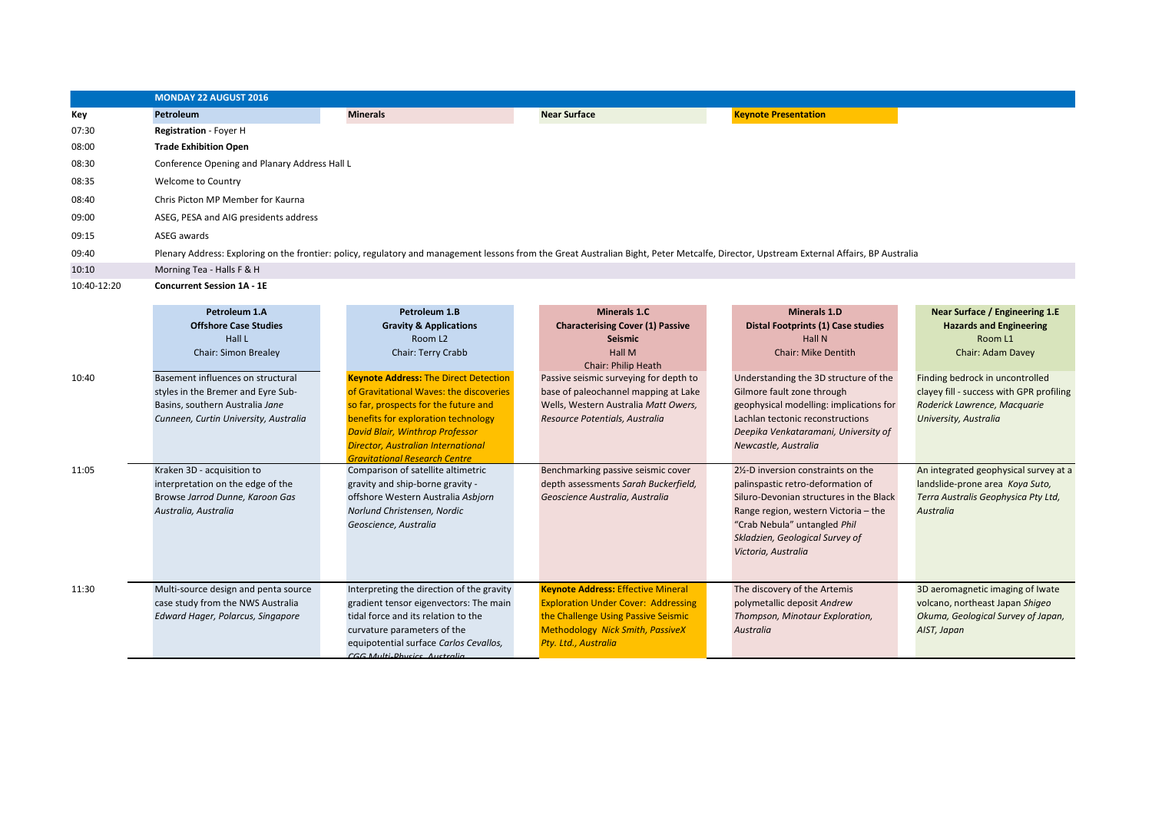|             | <b>MONDAY 22 AUGUST 2016</b>                  |                 |                                                                                                                                                                                          |                             |
|-------------|-----------------------------------------------|-----------------|------------------------------------------------------------------------------------------------------------------------------------------------------------------------------------------|-----------------------------|
| Key         | Petroleum                                     | <b>Minerals</b> | <b>Near Surface</b>                                                                                                                                                                      | <b>Keynote Presentation</b> |
| 07:30       | <b>Registration</b> - Foyer H                 |                 |                                                                                                                                                                                          |                             |
| 08:00       | <b>Trade Exhibition Open</b>                  |                 |                                                                                                                                                                                          |                             |
| 08:30       | Conference Opening and Planary Address Hall L |                 |                                                                                                                                                                                          |                             |
| 08:35       | Welcome to Country                            |                 |                                                                                                                                                                                          |                             |
| 08:40       | Chris Picton MP Member for Kaurna             |                 |                                                                                                                                                                                          |                             |
| 09:00       | ASEG, PESA and AIG presidents address         |                 |                                                                                                                                                                                          |                             |
| 09:15       | ASEG awards                                   |                 |                                                                                                                                                                                          |                             |
| 09:40       |                                               |                 | Plenary Address: Exploring on the frontier: policy, regulatory and management lessons from the Great Australian Bight, Peter Metcalfe, Director, Upstream External Affairs, BP Australia |                             |
| 10:10       | Morning Tea - Halls F & H                     |                 |                                                                                                                                                                                          |                             |
| 10:40-12:20 | <b>Concurrent Session 1A - 1E</b>             |                 |                                                                                                                                                                                          |                             |

|       | Petroleum 1.A<br><b>Offshore Case Studies</b><br>Hall L<br><b>Chair: Simon Brealey</b>                                                              | Petroleum 1.B<br><b>Gravity &amp; Applications</b><br>Room L <sub>2</sub><br>Chair: Terry Crabb                                                                                                                                                                                                       | Minerals 1.C<br><b>Characterising Cover (1) Passive</b><br><b>Seismic</b><br><b>Hall M</b><br><b>Chair: Philip Heath</b>                                                                          | <b>Minerals 1.D</b><br>Distal Footprints (1) Case studies<br><b>Hall N</b><br><b>Chair: Mike Dentith</b>                                                                                                                                            | Near Surface / Engineering 1.E<br><b>Hazards and Engineering</b><br>Room L1<br><b>Chair: Adam Davey</b>                              |
|-------|-----------------------------------------------------------------------------------------------------------------------------------------------------|-------------------------------------------------------------------------------------------------------------------------------------------------------------------------------------------------------------------------------------------------------------------------------------------------------|---------------------------------------------------------------------------------------------------------------------------------------------------------------------------------------------------|-----------------------------------------------------------------------------------------------------------------------------------------------------------------------------------------------------------------------------------------------------|--------------------------------------------------------------------------------------------------------------------------------------|
| 10:40 | Basement influences on structural<br>styles in the Bremer and Eyre Sub-<br>Basins, southern Australia Jane<br>Cunneen, Curtin University, Australia | <b>Keynote Address: The Direct Detection</b><br>of Gravitational Waves: the discoveries<br>so far, prospects for the future and<br>benefits for exploration technology<br><b>David Blair, Winthrop Professor</b><br><b>Director, Australian International</b><br><b>Gravitational Research Centre</b> | Passive seismic surveying for depth to<br>base of paleochannel mapping at Lake<br>Wells, Western Australia Matt Owers,<br>Resource Potentials, Australia                                          | Understanding the 3D structure of the<br>Gilmore fault zone through<br>geophysical modelling: implications for<br>Lachlan tectonic reconstructions<br>Deepika Venkataramani, University of<br>Newcastle, Australia                                  | Finding bedrock in uncontrolled<br>clayey fill - success with GPR profiling<br>Roderick Lawrence, Macquarie<br>University, Australia |
| 11:05 | Kraken 3D - acquisition to<br>interpretation on the edge of the<br>Browse Jarrod Dunne, Karoon Gas<br>Australia, Australia                          | Comparison of satellite altimetric<br>gravity and ship-borne gravity -<br>offshore Western Australia Asbiorn<br>Norlund Christensen, Nordic<br>Geoscience, Australia                                                                                                                                  | Benchmarking passive seismic cover<br>depth assessments Sarah Buckerfield,<br>Geoscience Australia, Australia                                                                                     | 2%-D inversion constraints on the<br>palinspastic retro-deformation of<br>Siluro-Devonian structures in the Black<br>Range region, western Victoria - the<br>"Crab Nebula" untangled Phil<br>Skladzien, Geological Survey of<br>Victoria, Australia | An integrated geophysical survey at a<br>landslide-prone area Koya Suto,<br>Terra Australis Geophysica Pty Ltd,<br><b>Australia</b>  |
| 11:30 | Multi-source design and penta source<br>case study from the NWS Australia<br>Edward Hager, Polarcus, Singapore                                      | Interpreting the direction of the gravity<br>gradient tensor eigenvectors: The main<br>tidal force and its relation to the<br>curvature parameters of the<br>equipotential surface Carlos Cevallos,<br>CGG Multi-Dhysics Australia                                                                    | <b>Keynote Address: Effective Mineral</b><br><b>Exploration Under Cover: Addressing</b><br>the Challenge Using Passive Seismic<br><b>Methodology Nick Smith, PassiveX</b><br>Pty. Ltd., Australia | The discovery of the Artemis<br>polymetallic deposit Andrew<br>Thompson, Minotaur Exploration,<br>Australia                                                                                                                                         | 3D aeromagnetic imaging of Iwate<br>volcano, northeast Japan Shigeo<br>Okuma, Geological Survey of Japan,<br>AIST, Japan             |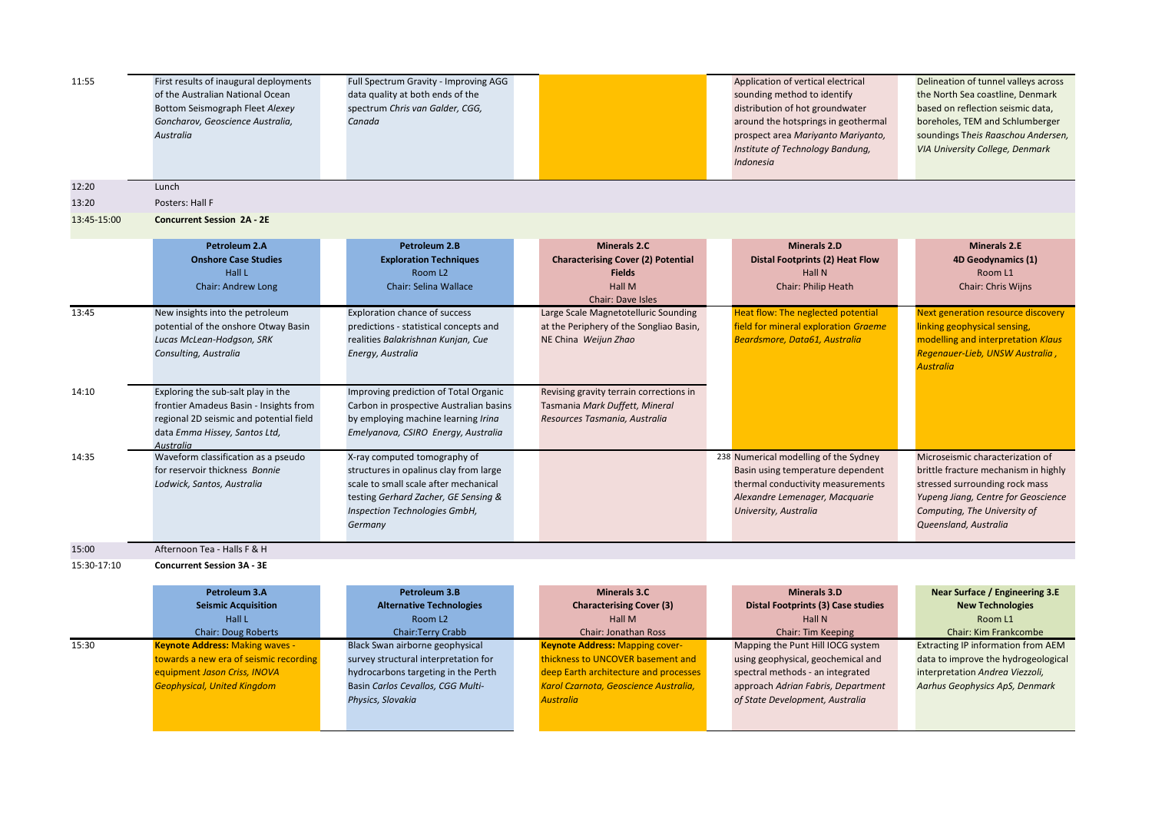| 11:55       | First results of inaugural deployments<br>of the Australian National Ocean<br>Bottom Seismograph Fleet Alexey<br>Goncharov, Geoscience Australia,<br>Australia        | Full Spectrum Gravity - Improving AGG<br>data quality at both ends of the<br>spectrum Chris van Galder, CGG,<br>Canada                                                                              |                                                                                                                  | Application of vertical electrical<br>sounding method to identify<br>distribution of hot groundwater<br>around the hotsprings in geothermal<br>prospect area Mariyanto Mariyanto,<br>Institute of Technology Bandung,<br>Indonesia | Delineation of tunnel valleys across<br>the North Sea coastline, Denmark<br>based on reflection seismic data,<br>boreholes, TEM and Schlumberger<br>soundings Theis Raaschou Andersen,<br>VIA University College, Denmark |
|-------------|-----------------------------------------------------------------------------------------------------------------------------------------------------------------------|-----------------------------------------------------------------------------------------------------------------------------------------------------------------------------------------------------|------------------------------------------------------------------------------------------------------------------|------------------------------------------------------------------------------------------------------------------------------------------------------------------------------------------------------------------------------------|---------------------------------------------------------------------------------------------------------------------------------------------------------------------------------------------------------------------------|
| 12:20       | Lunch                                                                                                                                                                 |                                                                                                                                                                                                     |                                                                                                                  |                                                                                                                                                                                                                                    |                                                                                                                                                                                                                           |
| 13:20       | Posters: Hall F                                                                                                                                                       |                                                                                                                                                                                                     |                                                                                                                  |                                                                                                                                                                                                                                    |                                                                                                                                                                                                                           |
| 13:45-15:00 | <b>Concurrent Session 2A - 2E</b>                                                                                                                                     |                                                                                                                                                                                                     |                                                                                                                  |                                                                                                                                                                                                                                    |                                                                                                                                                                                                                           |
|             | Petroleum 2.A<br><b>Onshore Case Studies</b><br>Hall L<br><b>Chair: Andrew Long</b>                                                                                   | Petroleum 2.B<br><b>Exploration Techniques</b><br>Room L <sub>2</sub><br><b>Chair: Selina Wallace</b>                                                                                               | Minerals 2.C<br><b>Characterising Cover (2) Potential</b><br><b>Fields</b><br><b>Hall M</b><br>Chair: Dave Isles | <b>Minerals 2.D</b><br><b>Distal Footprints (2) Heat Flow</b><br>Hall N<br>Chair: Philip Heath                                                                                                                                     | <b>Minerals 2.E</b><br>4D Geodynamics (1)<br>Room L1<br>Chair: Chris Wijns                                                                                                                                                |
| 13:45       | New insights into the petroleum<br>potential of the onshore Otway Basin<br>Lucas McLean-Hodgson, SRK<br>Consulting, Australia                                         | Exploration chance of success<br>predictions - statistical concepts and<br>realities Balakrishnan Kunjan, Cue<br>Energy, Australia                                                                  | Large Scale Magnetotelluric Sounding<br>at the Periphery of the Songliao Basin,<br>NE China Weijun Zhao          | Heat flow: The neglected potential<br>field for mineral exploration Graeme<br>Beardsmore, Data61, Australia                                                                                                                        | Next generation resource discovery<br>linking geophysical sensing,<br>modelling and interpretation Klaus<br>Regenauer-Lieb, UNSW Australia,<br><b>Australia</b>                                                           |
| 14:10       | Exploring the sub-salt play in the<br>frontier Amadeus Basin - Insights from<br>regional 2D seismic and potential field<br>data Emma Hissey, Santos Ltd,<br>Australia | Improving prediction of Total Organic<br>Carbon in prospective Australian basins<br>by employing machine learning Irina<br>Emelyanova, CSIRO Energy, Australia                                      | Revising gravity terrain corrections in<br>Tasmania Mark Duffett, Mineral<br>Resources Tasmania, Australia       |                                                                                                                                                                                                                                    |                                                                                                                                                                                                                           |
| 14:35       | Waveform classification as a pseudo<br>for reservoir thickness Bonnie<br>Lodwick, Santos, Australia                                                                   | X-ray computed tomography of<br>structures in opalinus clay from large<br>scale to small scale after mechanical<br>testing Gerhard Zacher, GE Sensing &<br>Inspection Technologies GmbH,<br>Germany |                                                                                                                  | 238 Numerical modelling of the Sydney<br>Basin using temperature dependent<br>thermal conductivity measurements<br>Alexandre Lemenager, Macquarie<br>University, Australia                                                         | Microseismic characterization of<br>brittle fracture mechanism in highly<br>stressed surrounding rock mass<br>Yupeng Jiang, Centre for Geoscience<br>Computing, The University of<br>Queensland, Australia                |
| 15:00       | Afternoon Tea - Halls F & H                                                                                                                                           |                                                                                                                                                                                                     |                                                                                                                  |                                                                                                                                                                                                                                    |                                                                                                                                                                                                                           |
| 15:30-17:10 | <b>Concurrent Session 3A - 3E</b>                                                                                                                                     |                                                                                                                                                                                                     |                                                                                                                  |                                                                                                                                                                                                                                    |                                                                                                                                                                                                                           |

|       | Petroleum 3.A                          | Petroleum 3.B                        | Minerals 3.C                           | Minerals 3.D                       | Near Surface / Engineering 3.E            |
|-------|----------------------------------------|--------------------------------------|----------------------------------------|------------------------------------|-------------------------------------------|
|       | <b>Seismic Acquisition</b>             | <b>Alternative Technologies</b>      | <b>Characterising Cover (3)</b>        | Distal Footprints (3) Case studies | <b>New Technologies</b>                   |
|       | Hall L                                 | Room L <sub>2</sub>                  | Hall M                                 | Hall N                             | Room L1                                   |
|       | <b>Chair: Doug Roberts</b>             | Chair:Terry Crabb                    | <b>Chair: Jonathan Ross</b>            | <b>Chair: Tim Keeping</b>          | <b>Chair: Kim Frankcombe</b>              |
| 15:30 | <b>Keynote Address: Making waves -</b> | Black Swan airborne geophysical      | <b>Keynote Address: Mapping cover-</b> | Mapping the Punt Hill IOCG system  | <b>Extracting IP information from AEM</b> |
|       | towards a new era of seismic recording | survey structural interpretation for | thickness to UNCOVER basement and      | using geophysical, geochemical and | data to improve the hydrogeological       |
|       | equipment Jason Criss, INOVA           | hydrocarbons targeting in the Perth  | deep Earth architecture and processes  | spectral methods - an integrated   | interpretation Andrea Viezzoli,           |
|       | <b>Geophysical, United Kingdom</b>     | Basin Carlos Cevallos, CGG Multi-    | Karol Czarnota, Geoscience Australia,  | approach Adrian Fabris, Department | Aarhus Geophysics ApS, Denmark            |
|       |                                        | Physics, Slovakia                    | <b>Australia</b>                       | of State Development, Australia    |                                           |
|       |                                        |                                      |                                        |                                    |                                           |
|       |                                        |                                      |                                        |                                    |                                           |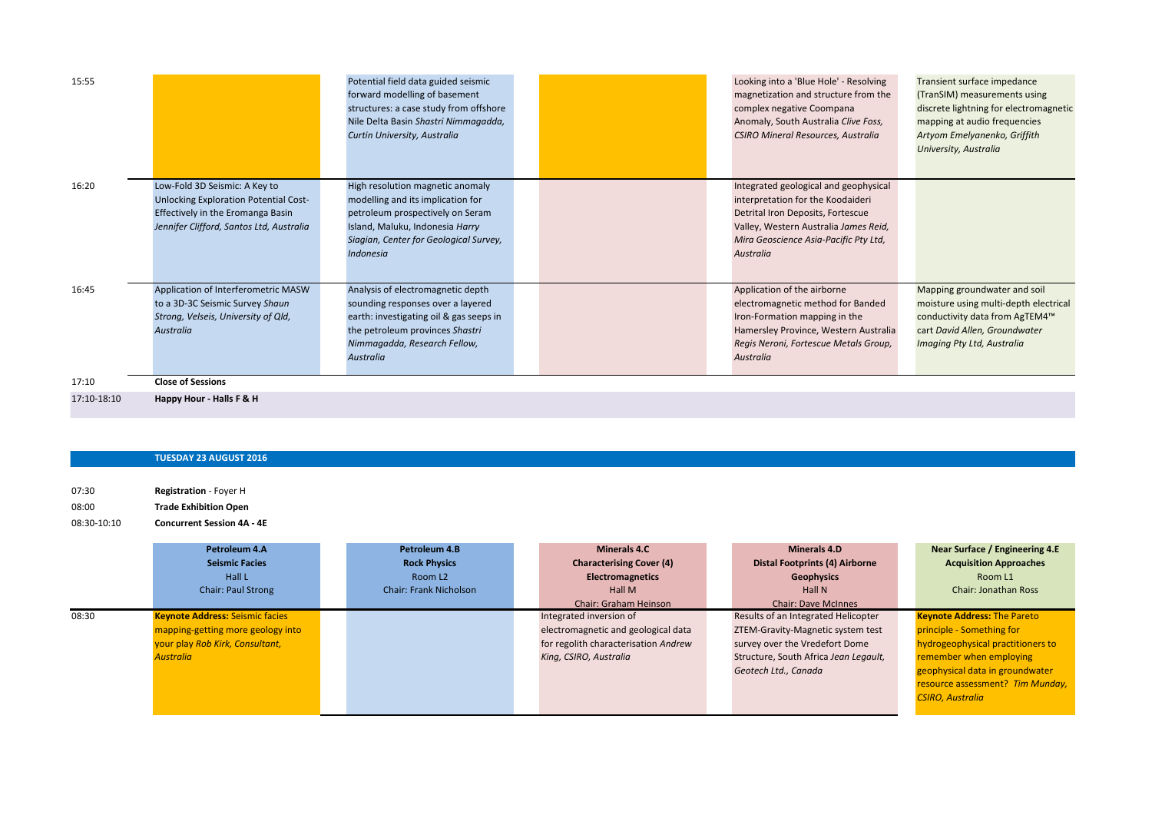| 15:55       |                                                                                                                                                         | Potential field data guided seismic<br>forward modelling of basement<br>structures: a case study from offshore<br>Nile Delta Basin Shastri Nimmagadda,<br>Curtin University, Australia                     | Looking into a 'Blue Hole' - Resolving<br>magnetization and structure from the<br>complex negative Coompana<br>Anomaly, South Australia Clive Foss,<br>CSIRO Mineral Resources, Australia                      | Transient surface impedance<br>(TranSIM) measurements using<br>discrete lightning for electromagnetic<br>mapping at audio frequencies<br>Artyom Emelyanenko, Griffith<br>University, Australia |
|-------------|---------------------------------------------------------------------------------------------------------------------------------------------------------|------------------------------------------------------------------------------------------------------------------------------------------------------------------------------------------------------------|----------------------------------------------------------------------------------------------------------------------------------------------------------------------------------------------------------------|------------------------------------------------------------------------------------------------------------------------------------------------------------------------------------------------|
| 16:20       | Low-Fold 3D Seismic: A Key to<br>Unlocking Exploration Potential Cost-<br>Effectively in the Eromanga Basin<br>Jennifer Clifford, Santos Ltd, Australia | High resolution magnetic anomaly<br>modelling and its implication for<br>petroleum prospectively on Seram<br>Island, Maluku, Indonesia Harry<br>Siagian, Center for Geological Survey,<br><b>Indonesia</b> | Integrated geological and geophysical<br>interpretation for the Koodaideri<br>Detrital Iron Deposits, Fortescue<br>Valley, Western Australia James Reid,<br>Mira Geoscience Asia-Pacific Pty Ltd,<br>Australia |                                                                                                                                                                                                |
| 16:45       | Application of Interferometric MASW<br>to a 3D-3C Seismic Survey Shaun<br>Strong, Velseis, University of Qld,<br><b>Australia</b>                       | Analysis of electromagnetic depth<br>sounding responses over a layered<br>earth: investigating oil & gas seeps in<br>the petroleum provinces Shastri<br>Nimmagadda, Research Fellow,<br><b>Australia</b>   | Application of the airborne<br>electromagnetic method for Banded<br>Iron-Formation mapping in the<br>Hamersley Province, Western Australia<br>Regis Neroni, Fortescue Metals Group,<br>Australia               | Mapping groundwater and soil<br>moisture using multi-depth electrical<br>conductivity data from AgTEM4™<br>cart David Allen, Groundwater<br>Imaging Pty Ltd, Australia                         |
| 17:10       | <b>Close of Sessions</b>                                                                                                                                |                                                                                                                                                                                                            |                                                                                                                                                                                                                |                                                                                                                                                                                                |
| 17:10-18:10 | Happy Hour - Halls F & H                                                                                                                                |                                                                                                                                                                                                            |                                                                                                                                                                                                                |                                                                                                                                                                                                |

## **TUESDAY 23 AUGUST 2016**

07:30 **Registration** - Foyer H 08:00 **Trade Exhibition Open** 08:30-10:10 **Concurrent Session 4A - 4E**

|       | Petroleum 4.A<br><b>Seismic Facies</b><br>Hall L<br><b>Chair: Paul Strong</b>                                                      | Petroleum 4.B<br><b>Rock Physics</b><br>Room L <sub>2</sub><br><b>Chair: Frank Nicholson</b> | Minerals 4.C<br><b>Characterising Cover (4)</b><br><b>Electromagnetics</b><br>Hall M<br><b>Chair: Graham Heinson</b>             | Minerals 4.D<br><b>Distal Footprints (4) Airborne</b><br><b>Geophysics</b><br>Hall N<br><b>Chair: Dave McInnes</b>                                                          | Near Surface / Engineering 4.E<br><b>Acquisition Approaches</b><br>Room L1<br><b>Chair: Jonathan Ross</b>                                                                                                                         |
|-------|------------------------------------------------------------------------------------------------------------------------------------|----------------------------------------------------------------------------------------------|----------------------------------------------------------------------------------------------------------------------------------|-----------------------------------------------------------------------------------------------------------------------------------------------------------------------------|-----------------------------------------------------------------------------------------------------------------------------------------------------------------------------------------------------------------------------------|
| 08:30 | <b>Keynote Address: Seismic facies</b><br>mapping-getting more geology into<br>your play Rob Kirk, Consultant,<br><b>Australia</b> |                                                                                              | Integrated inversion of<br>electromagnetic and geological data<br>for regolith characterisation Andrew<br>King, CSIRO, Australia | Results of an Integrated Helicopter<br>ZTEM-Gravity-Magnetic system test<br>survey over the Vredefort Dome<br>Structure, South Africa Jean Legault,<br>Geotech Ltd., Canada | <b>Keynote Address: The Pareto</b><br>principle - Something for<br>hydrogeophysical practitioners to<br>remember when employing<br>geophysical data in groundwater<br>resource assessment? Tim Munday,<br><b>CSIRO, Australia</b> |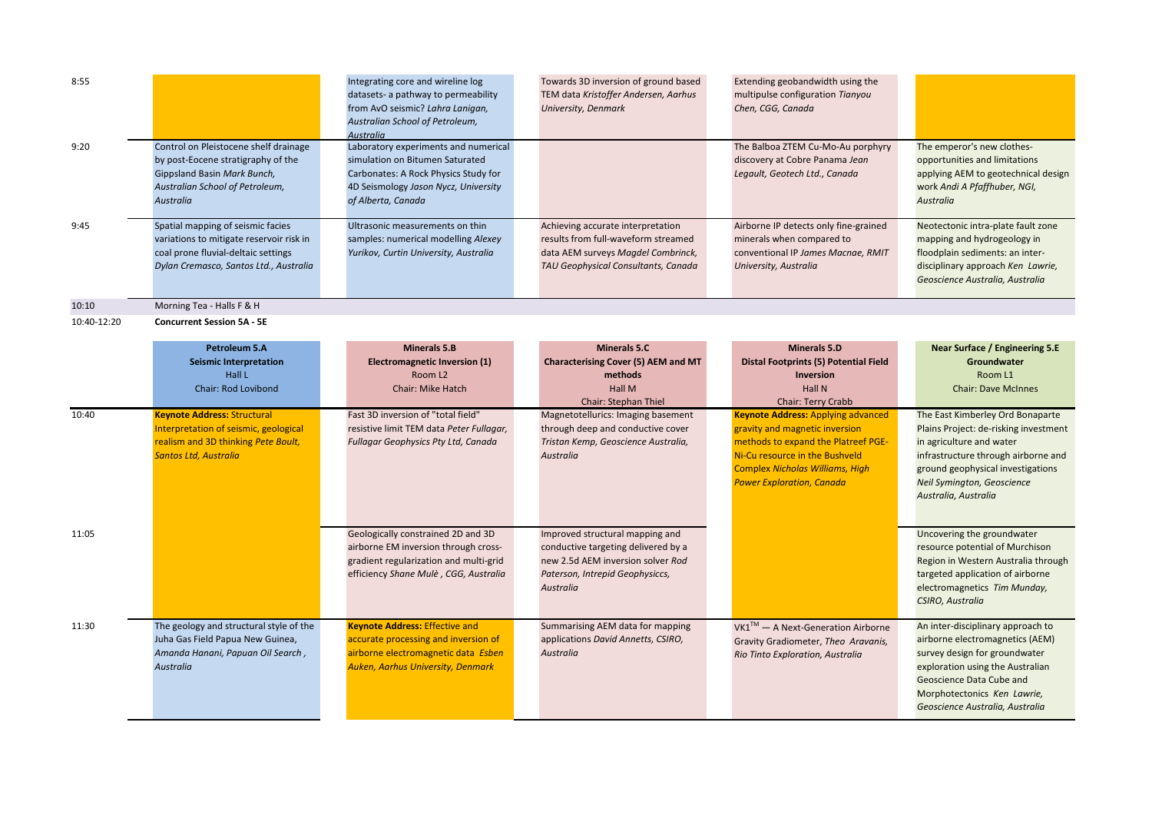| 8:55        |                                                                                                                                                                   | Integrating core and wireline log<br>datasets- a pathway to permeability<br>from AvO seismic? Lahra Lanigan,<br>Australian School of Petroleum,<br>Australia                  | Towards 3D inversion of ground based<br>TEM data Kristoffer Andersen, Aarhus<br>University, Denmark                                                         | Extending geobandwidth using the<br>multipulse configuration Tianyou<br>Chen, CGG, Canada                                                                                                                                          |                                                                                                                                                                                                                                         |
|-------------|-------------------------------------------------------------------------------------------------------------------------------------------------------------------|-------------------------------------------------------------------------------------------------------------------------------------------------------------------------------|-------------------------------------------------------------------------------------------------------------------------------------------------------------|------------------------------------------------------------------------------------------------------------------------------------------------------------------------------------------------------------------------------------|-----------------------------------------------------------------------------------------------------------------------------------------------------------------------------------------------------------------------------------------|
| 9:20        | Control on Pleistocene shelf drainage<br>by post-Eocene stratigraphy of the<br>Gippsland Basin Mark Bunch,<br>Australian School of Petroleum,<br><b>Australia</b> | Laboratory experiments and numerical<br>simulation on Bitumen Saturated<br>Carbonates: A Rock Physics Study for<br>4D Seismology Jason Nycz, University<br>of Alberta, Canada |                                                                                                                                                             | The Balboa ZTEM Cu-Mo-Au porphyry<br>discovery at Cobre Panama Jean<br>Legault, Geotech Ltd., Canada                                                                                                                               | The emperor's new clothes-<br>opportunities and limitations<br>applying AEM to geotechnical design<br>work Andi A Pfaffhuber, NGI,<br><b>Australia</b>                                                                                  |
| 9:45        | Spatial mapping of seismic facies<br>variations to mitigate reservoir risk in<br>coal prone fluvial-deltaic settings<br>Dylan Cremasco, Santos Ltd., Australia    | Ultrasonic measurements on thin<br>samples: numerical modelling Alexey<br>Yurikov, Curtin University, Australia                                                               | Achieving accurate interpretation<br>results from full-waveform streamed<br>data AEM surveys Magdel Combrinck,<br>TAU Geophysical Consultants, Canada       | Airborne IP detects only fine-grained<br>minerals when compared to<br>conventional IP James Macnae, RMIT<br>University, Australia                                                                                                  | Neotectonic intra-plate fault zone<br>mapping and hydrogeology in<br>floodplain sediments: an inter-<br>disciplinary approach Ken Lawrie,<br>Geoscience Australia, Australia                                                            |
| 10:10       | Morning Tea - Halls F & H                                                                                                                                         |                                                                                                                                                                               |                                                                                                                                                             |                                                                                                                                                                                                                                    |                                                                                                                                                                                                                                         |
| 10:40-12:20 | <b>Concurrent Session 5A - 5E</b>                                                                                                                                 |                                                                                                                                                                               |                                                                                                                                                             |                                                                                                                                                                                                                                    |                                                                                                                                                                                                                                         |
|             | <b>Petroleum 5.A</b><br><b>Seismic Interpretation</b><br>Hall L<br>Chair: Rod Lovibond                                                                            | <b>Minerals 5.B</b><br><b>Electromagnetic Inversion (1)</b><br>Room L <sub>2</sub><br><b>Chair: Mike Hatch</b>                                                                | Minerals 5.C<br>Characterising Cover (5) AEM and MT<br>methods<br>Hall M<br><b>Chair: Stephan Thiel</b>                                                     | <b>Minerals 5.D</b><br><b>Distal Footprints (5) Potential Field</b><br><b>Inversion</b><br>Hall N<br><b>Chair: Terry Crabb</b>                                                                                                     | Near Surface / Engineering 5.E<br>Groundwater<br>Room L1<br><b>Chair: Dave McInnes</b>                                                                                                                                                  |
| 10:40       | <b>Keynote Address: Structural</b><br>Interpretation of seismic, geological<br>realism and 3D thinking Pete Boult,<br><b>Santos Ltd, Australia</b>                | Fast 3D inversion of "total field"<br>resistive limit TEM data Peter Fullagar,<br>Fullagar Geophysics Pty Ltd, Canada                                                         | Magnetotellurics: Imaging basement<br>through deep and conductive cover<br>Tristan Kemp, Geoscience Australia,<br>Australia                                 | <b>Keynote Address: Applying advanced</b><br>gravity and magnetic inversion<br>methods to expand the Platreef PGE-<br>Ni-Cu resource in the Bushveld<br><b>Complex Nicholas Williams, High</b><br><b>Power Exploration, Canada</b> | The East Kimberley Ord Bonaparte<br>Plains Project: de-risking investment<br>in agriculture and water<br>infrastructure through airborne and<br>ground geophysical investigations<br>Neil Symington, Geoscience<br>Australia, Australia |
| 11:05       |                                                                                                                                                                   | Geologically constrained 2D and 3D<br>airborne EM inversion through cross-<br>gradient regularization and multi-grid<br>efficiency Shane Mulè, CGG, Australia                 | Improved structural mapping and<br>conductive targeting delivered by a<br>new 2.5d AEM inversion solver Rod<br>Paterson, Intrepid Geophysiccs,<br>Australia |                                                                                                                                                                                                                                    | Uncovering the groundwater<br>resource potential of Murchison<br>Region in Western Australia through<br>targeted application of airborne<br>electromagnetics Tim Munday,<br>CSIRO, Australia                                            |
| 11:30       | The geology and structural style of the<br>Juha Gas Field Papua New Guinea,<br>Amanda Hanani, Papuan Oil Search,<br><b>Australia</b>                              | <b>Keynote Address: Effective and</b><br>accurate processing and inversion of<br>airborne electromagnetic data Esben<br><b>Auken, Aarhus University, Denmark</b>              | Summarising AEM data for mapping<br>applications David Annetts, CSIRO,<br>Australia                                                                         | VK1™ – A Next-Generation Airborne<br>Gravity Gradiometer, Theo Aravanis,<br>Rio Tinto Exploration, Australia                                                                                                                       | An inter-disciplinary approach to<br>airborne electromagnetics (AEM)<br>survey design for groundwater<br>exploration using the Australian<br>Geoscience Data Cube and<br>Morphotectonics Ken Lawrie,<br>Geoscience Australia, Australia |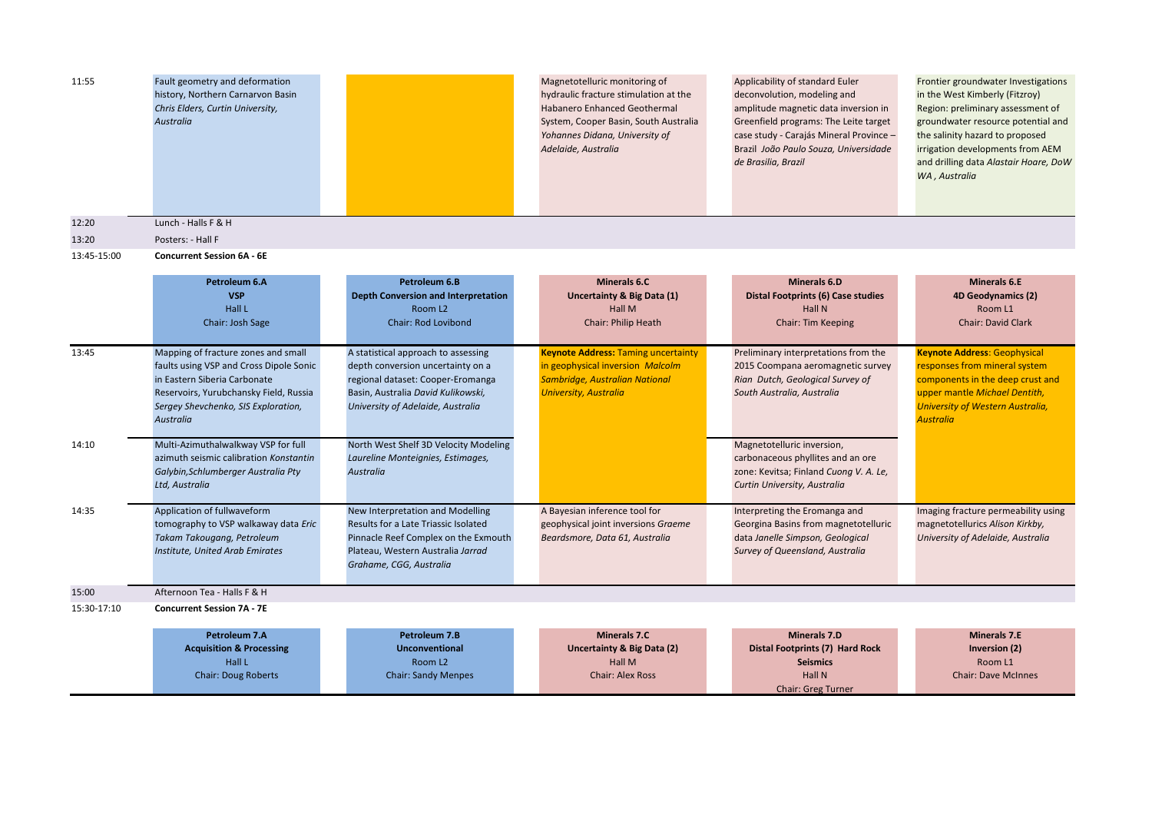| 11:55       | Fault geometry and deformation<br>history, Northern Carnarvon Basin<br>Chris Elders, Curtin University,<br>Australia                                                                                                |                                                                                                                                                                                          | Magnetotelluric monitoring of<br>hydraulic fracture stimulation at the<br><b>Habanero Enhanced Geothermal</b><br>System, Cooper Basin, South Australia<br>Yohannes Didana, University of<br>Adelaide, Australia | Applicability of standard Euler<br>deconvolution, modeling and<br>amplitude magnetic data inversion in<br>Greenfield programs: The Leite target<br>case study - Carajás Mineral Province -<br>Brazil João Paulo Souza, Universidade<br>de Brasilia, Brazil | Frontier groundwater Investigations<br>in the West Kimberly (Fitzroy)<br>Region: preliminary assessment of<br>groundwater resource potential and<br>the salinity hazard to proposed<br>irrigation developments from AEM<br>and drilling data Alastair Hoare, DoW<br>WA, Australia |
|-------------|---------------------------------------------------------------------------------------------------------------------------------------------------------------------------------------------------------------------|------------------------------------------------------------------------------------------------------------------------------------------------------------------------------------------|-----------------------------------------------------------------------------------------------------------------------------------------------------------------------------------------------------------------|------------------------------------------------------------------------------------------------------------------------------------------------------------------------------------------------------------------------------------------------------------|-----------------------------------------------------------------------------------------------------------------------------------------------------------------------------------------------------------------------------------------------------------------------------------|
| 12:20       | Lunch - Halls F & H                                                                                                                                                                                                 |                                                                                                                                                                                          |                                                                                                                                                                                                                 |                                                                                                                                                                                                                                                            |                                                                                                                                                                                                                                                                                   |
| 13:20       | Posters: - Hall F                                                                                                                                                                                                   |                                                                                                                                                                                          |                                                                                                                                                                                                                 |                                                                                                                                                                                                                                                            |                                                                                                                                                                                                                                                                                   |
| 13:45-15:00 | <b>Concurrent Session 6A - 6E</b>                                                                                                                                                                                   |                                                                                                                                                                                          |                                                                                                                                                                                                                 |                                                                                                                                                                                                                                                            |                                                                                                                                                                                                                                                                                   |
|             | Petroleum 6.A<br><b>VSP</b><br>Hall L<br>Chair: Josh Sage                                                                                                                                                           | Petroleum 6.B<br><b>Depth Conversion and Interpretation</b><br>Room L <sub>2</sub><br>Chair: Rod Lovibond                                                                                | <b>Minerals 6.C</b><br>Uncertainty & Big Data (1)<br>Hall M<br>Chair: Philip Heath                                                                                                                              | <b>Minerals 6.D</b><br><b>Distal Footprints (6) Case studies</b><br>Hall N<br><b>Chair: Tim Keeping</b>                                                                                                                                                    | <b>Minerals 6.E</b><br>4D Geodynamics (2)<br>Room L1<br>Chair: David Clark                                                                                                                                                                                                        |
| 13:45       | Mapping of fracture zones and small<br>faults using VSP and Cross Dipole Sonic<br>in Eastern Siberia Carbonate<br>Reservoirs, Yurubchansky Field, Russia<br>Sergey Shevchenko, SIS Exploration,<br><b>Australia</b> | A statistical approach to assessing<br>depth conversion uncertainty on a<br>regional dataset: Cooper-Eromanga<br>Basin, Australia David Kulikowski,<br>University of Adelaide, Australia | <b>Keynote Address: Taming uncertainty</b><br>in geophysical inversion Malcolm<br>Sambridge, Australian National<br><b>University, Australia</b>                                                                | Preliminary interpretations from the<br>2015 Coompana aeromagnetic survey<br>Rian Dutch, Geological Survey of<br>South Australia, Australia                                                                                                                | <b>Keynote Address: Geophysical</b><br>responses from mineral system<br>components in the deep crust and<br>upper mantle Michael Dentith,<br><b>University of Western Australia,</b><br><b>Australia</b>                                                                          |
| 14:10       | Multi-Azimuthalwalkway VSP for full<br>azimuth seismic calibration Konstantin<br>Galybin, Schlumberger Australia Pty<br>Ltd, Australia                                                                              | North West Shelf 3D Velocity Modeling<br>Laureline Monteignies, Estimages,<br>Australia                                                                                                  |                                                                                                                                                                                                                 | Magnetotelluric inversion,<br>carbonaceous phyllites and an ore<br>zone: Kevitsa; Finland Cuong V. A. Le,<br>Curtin University, Australia                                                                                                                  |                                                                                                                                                                                                                                                                                   |
| 14:35       | Application of fullwaveform<br>tomography to VSP walkaway data Eric<br>Takam Takougang, Petroleum<br>Institute, United Arab Emirates                                                                                | New Interpretation and Modelling<br>Results for a Late Triassic Isolated<br>Pinnacle Reef Complex on the Exmouth<br>Plateau, Western Australia Jarrad<br>Grahame, CGG, Australia         | A Bayesian inference tool for<br>geophysical joint inversions Graeme<br>Beardsmore, Data 61, Australia                                                                                                          | Interpreting the Eromanga and<br>Georgina Basins from magnetotelluric<br>data Janelle Simpson, Geological<br>Survey of Queensland, Australia                                                                                                               | Imaging fracture permeability using<br>magnetotellurics Alison Kirkby,<br>University of Adelaide, Australia                                                                                                                                                                       |
| 15:00       | Afternoon Tea - Halls F & H                                                                                                                                                                                         |                                                                                                                                                                                          |                                                                                                                                                                                                                 |                                                                                                                                                                                                                                                            |                                                                                                                                                                                                                                                                                   |
| 15:30-17:10 | <b>Concurrent Session 7A - 7E</b>                                                                                                                                                                                   |                                                                                                                                                                                          |                                                                                                                                                                                                                 |                                                                                                                                                                                                                                                            |                                                                                                                                                                                                                                                                                   |
|             | Petroleum 7.A<br><b>Acquisition &amp; Processing</b><br>Hall L<br><b>Chair: Doug Roberts</b>                                                                                                                        | Petroleum 7.B<br><b>Unconventional</b><br>Room L <sub>2</sub><br><b>Chair: Sandy Menpes</b>                                                                                              | <b>Minerals 7.C</b><br>Uncertainty & Big Data (2)<br><b>Hall M</b><br><b>Chair: Alex Ross</b>                                                                                                                   | <b>Minerals 7.D</b><br><b>Distal Footprints (7) Hard Rock</b><br><b>Seismics</b><br>Hall N<br><b>Chair: Greg Turner</b>                                                                                                                                    | <b>Minerals 7.E</b><br>Inversion (2)<br>Room L1<br><b>Chair: Dave McInnes</b>                                                                                                                                                                                                     |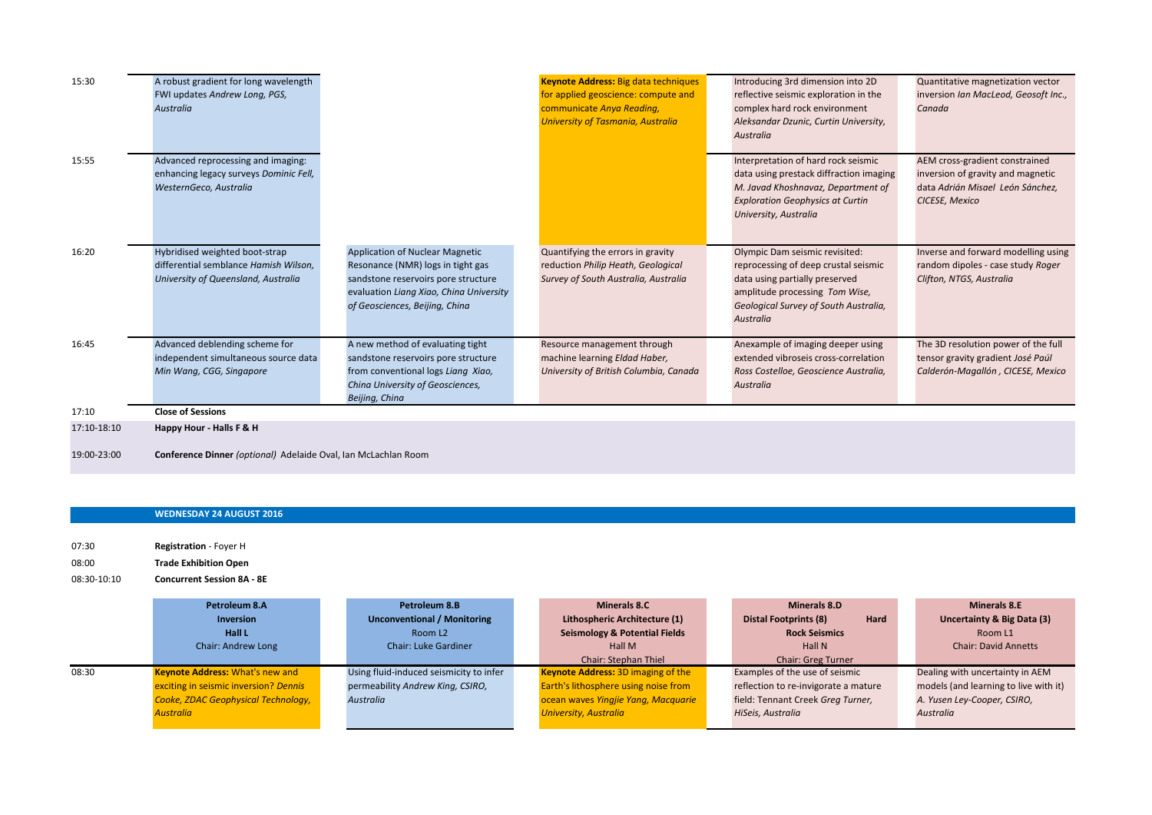| 15:30                      | A robust gradient for long wavelength<br>FWI updates Andrew Long, PGS,<br><b>Australia</b>                     |                                                                                                                                                                                          | <b>Keynote Address: Big data techniques</b><br>for applied geoscience: compute and<br>communicate Anya Reading,<br><b>University of Tasmania, Australia</b> | Introducing 3rd dimension into 2D<br>reflective seismic exploration in the<br>complex hard rock environment<br>Aleksandar Dzunic, Curtin University,<br>Australia                                | Quantitative magnetization vector<br>inversion Ian MacLeod, Geosoft Inc.,<br>Canada                                       |
|----------------------------|----------------------------------------------------------------------------------------------------------------|------------------------------------------------------------------------------------------------------------------------------------------------------------------------------------------|-------------------------------------------------------------------------------------------------------------------------------------------------------------|--------------------------------------------------------------------------------------------------------------------------------------------------------------------------------------------------|---------------------------------------------------------------------------------------------------------------------------|
| 15:55                      | Advanced reprocessing and imaging:<br>enhancing legacy surveys Dominic Fell,<br>WesternGeco, Australia         |                                                                                                                                                                                          |                                                                                                                                                             | Interpretation of hard rock seismic<br>data using prestack diffraction imaging<br>M. Javad Khoshnavaz, Department of<br><b>Exploration Geophysics at Curtin</b><br>University, Australia         | AEM cross-gradient constrained<br>inversion of gravity and magnetic<br>data Adrián Misael León Sánchez,<br>CICESE, Mexico |
| 16:20                      | Hybridised weighted boot-strap<br>differential semblance Hamish Wilson,<br>University of Queensland, Australia | Application of Nuclear Magnetic<br>Resonance (NMR) logs in tight gas<br>sandstone reservoirs pore structure<br>evaluation Liang Xiao, China University<br>of Geosciences, Beijing, China | Quantifying the errors in gravity<br>reduction Philip Heath, Geological<br>Survey of South Australia, Australia                                             | Olympic Dam seismic revisited:<br>reprocessing of deep crustal seismic<br>data using partially preserved<br>amplitude processing Tom Wise,<br>Geological Survey of South Australia,<br>Australia | Inverse and forward modelling using<br>random dipoles - case study Roger<br>Clifton, NTGS, Australia                      |
| 16:45                      | Advanced deblending scheme for<br>independent simultaneous source data<br>Min Wang, CGG, Singapore             | A new method of evaluating tight<br>sandstone reservoirs pore structure<br>from conventional logs Liang Xiao,<br>China University of Geosciences,<br>Beijing, China                      | Resource management through<br>machine learning Eldad Haber,<br>University of British Columbia, Canada                                                      | Anexample of imaging deeper using<br>extended vibroseis cross-correlation<br>Ross Costelloe, Geoscience Australia,<br>Australia                                                                  | The 3D resolution power of the full<br>tensor gravity gradient José Paúl<br>Calderón-Magallón, CICESE, Mexico             |
| 17:10                      | <b>Close of Sessions</b>                                                                                       |                                                                                                                                                                                          |                                                                                                                                                             |                                                                                                                                                                                                  |                                                                                                                           |
| 17:10-18:10<br>19:00-23:00 | Happy Hour - Halls F & H<br>Conference Dinner (optional) Adelaide Oval, Ian McLachlan Room                     |                                                                                                                                                                                          |                                                                                                                                                             |                                                                                                                                                                                                  |                                                                                                                           |

## **WEDNESDAY 24 AUGUST 2016**

07:30 **Registration** - Foyer H 08:00 **Trade Exhibition Open**

## 08:30-10:10 **Concurrent Session 8A - 8E**

|       | Petroleum 8.A                          | Petroleum 8.B                           | <b>Minerals 8.C</b>                       | <b>Minerals 8.D</b>                  | <b>Minerals 8.E</b>                   |
|-------|----------------------------------------|-----------------------------------------|-------------------------------------------|--------------------------------------|---------------------------------------|
|       | <b>Inversion</b>                       | <b>Unconventional / Monitoring</b>      | Lithospheric Architecture (1)             | Hard<br><b>Distal Footprints (8)</b> | Uncertainty & Big Data (3)            |
|       | Hall L                                 | Room L <sub>2</sub>                     | <b>Seismology &amp; Potential Fields</b>  | <b>Rock Seismics</b>                 | Room L1                               |
|       | Chair: Andrew Long                     | <b>Chair: Luke Gardiner</b>             | Hall M                                    | Hall N                               | <b>Chair: David Annetts</b>           |
|       |                                        |                                         | <b>Chair: Stephan Thiel</b>               | <b>Chair: Greg Turner</b>            |                                       |
| 08:30 | <b>Keynote Address: What's new and</b> | Using fluid-induced seismicity to infer | <b>Keynote Address: 3D imaging of the</b> | Examples of the use of seismic       | Dealing with uncertainty in AEM       |
|       | exciting in seismic inversion? Dennis  | permeability Andrew King, CSIRO,        | Earth's lithosphere using noise from      | reflection to re-invigorate a mature | models (and learning to live with it) |
|       | Cooke, ZDAC Geophysical Technology,    | <b>Australia</b>                        | ocean waves Yingjie Yang, Macquarie       | field: Tennant Creek Greg Turner,    | A. Yusen Ley-Cooper, CSIRO,           |
|       | <b>Australia</b>                       |                                         | <b>University, Australia</b>              | HiSeis, Australia                    | <b>Australia</b>                      |
|       |                                        |                                         |                                           |                                      |                                       |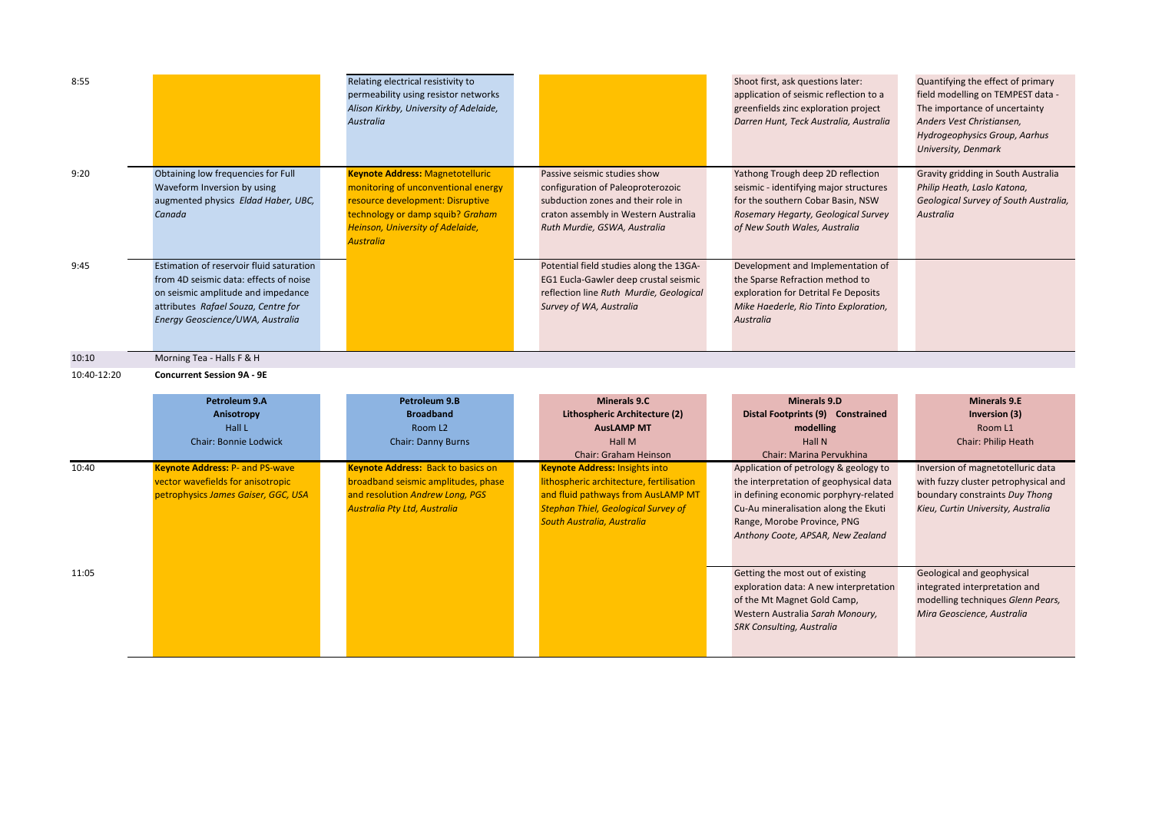| 8:55  |                                                                                                                                                                                                     | Relating electrical resistivity to<br>permeability using resistor networks<br>Alison Kirkby, University of Adelaide,<br><b>Australia</b>                                                                              |                                                                                                                                                                                 | Shoot first, ask questions later:<br>application of seismic reflection to a<br>greenfields zinc exploration project<br>Darren Hunt, Teck Australia, Australia                            | Quantifying the effect of primary<br>field modelling on TEMPEST data -<br>The importance of uncertainty<br>Anders Vest Christiansen,<br><b>Hydrogeophysics Group, Aarhus</b><br>University, Denmark |
|-------|-----------------------------------------------------------------------------------------------------------------------------------------------------------------------------------------------------|-----------------------------------------------------------------------------------------------------------------------------------------------------------------------------------------------------------------------|---------------------------------------------------------------------------------------------------------------------------------------------------------------------------------|------------------------------------------------------------------------------------------------------------------------------------------------------------------------------------------|-----------------------------------------------------------------------------------------------------------------------------------------------------------------------------------------------------|
| 9:20  | Obtaining low frequencies for Full<br>Waveform Inversion by using<br>augmented physics Eldad Haber, UBC,<br>Canada                                                                                  | <b>Keynote Address: Magnetotelluric</b><br>monitoring of unconventional energy<br>resource development: Disruptive<br>technology or damp squib? Graham<br><b>Heinson, University of Adelaide,</b><br><b>Australia</b> | Passive seismic studies show<br>configuration of Paleoproterozoic<br>subduction zones and their role in<br>craton assembly in Western Australia<br>Ruth Murdie, GSWA, Australia | Yathong Trough deep 2D reflection<br>seismic - identifying major structures<br>for the southern Cobar Basin, NSW<br>Rosemary Hegarty, Geological Survey<br>of New South Wales, Australia | Gravity gridding in South Australia<br>Philip Heath, Laslo Katona,<br>Geological Survey of South Australia,<br>Australia                                                                            |
| 9:45  | Estimation of reservoir fluid saturation<br>from 4D seismic data: effects of noise<br>on seismic amplitude and impedance<br>attributes Rafael Souza, Centre for<br>Energy Geoscience/UWA, Australia |                                                                                                                                                                                                                       | Potential field studies along the 13GA-<br>EG1 Eucla-Gawler deep crustal seismic<br>reflection line Ruth Murdie, Geological<br>Survey of WA, Australia                          | Development and Implementation of<br>the Sparse Refraction method to<br>exploration for Detrital Fe Deposits<br>Mike Haederle, Rio Tinto Exploration,<br>Australia                       |                                                                                                                                                                                                     |
| 10:10 | Morning Tea - Halls F & H                                                                                                                                                                           |                                                                                                                                                                                                                       |                                                                                                                                                                                 |                                                                                                                                                                                          |                                                                                                                                                                                                     |

10:40-12:20 **Concurrent Session 9A - 9E**

|       | Petroleum 9.A                          | Petroleum 9.B                             | <b>Minerals 9.C</b>                        | <b>Minerals 9.D</b>                    | <b>Minerals 9.E</b>                  |
|-------|----------------------------------------|-------------------------------------------|--------------------------------------------|----------------------------------------|--------------------------------------|
|       | Anisotropy                             | <b>Broadband</b>                          | Lithospheric Architecture (2)              | Distal Footprints (9) Constrained      | Inversion (3)                        |
|       | Hall L                                 | Room L <sub>2</sub>                       | <b>AusLAMP MT</b>                          | modelling                              | Room L1                              |
|       | <b>Chair: Bonnie Lodwick</b>           | <b>Chair: Danny Burns</b>                 | Hall M                                     | <b>Hall N</b>                          | <b>Chair: Philip Heath</b>           |
|       |                                        |                                           | <b>Chair: Graham Heinson</b>               | Chair: Marina Pervukhina               |                                      |
| 10:40 | <b>Keynote Address: P- and PS-wave</b> | <b>Keynote Address: Back to basics on</b> | <b>Keynote Address: Insights into</b>      | Application of petrology & geology to  | Inversion of magnetotelluric data    |
|       | vector wavefields for anisotropic      | broadband seismic amplitudes, phase       | lithospheric architecture, fertilisation   | the interpretation of geophysical data | with fuzzy cluster petrophysical and |
|       | petrophysics James Gaiser, GGC, USA    | and resolution Andrew Long, PGS           | and fluid pathways from AusLAMP MT         | in defining economic porphyry-related  | boundary constraints Duy Thong       |
|       |                                        | Australia Pty Ltd, Australia              | <b>Stephan Thiel, Geological Survey of</b> | Cu-Au mineralisation along the Ekuti   | Kieu, Curtin University, Australia   |
|       |                                        |                                           | South Australia, Australia                 | Range, Morobe Province, PNG            |                                      |
|       |                                        |                                           |                                            | Anthony Coote, APSAR, New Zealand      |                                      |
|       |                                        |                                           |                                            |                                        |                                      |
|       |                                        |                                           |                                            |                                        |                                      |
| 11:05 |                                        |                                           |                                            | Getting the most out of existing       | Geological and geophysical           |
|       |                                        |                                           |                                            | exploration data: A new interpretation | integrated interpretation and        |
|       |                                        |                                           |                                            | of the Mt Magnet Gold Camp,            | modelling techniques Glenn Pears,    |
|       |                                        |                                           |                                            | Western Australia Sarah Monoury,       | Mira Geoscience, Australia           |
|       |                                        |                                           |                                            | <b>SRK Consulting, Australia</b>       |                                      |
|       |                                        |                                           |                                            |                                        |                                      |
|       |                                        |                                           |                                            |                                        |                                      |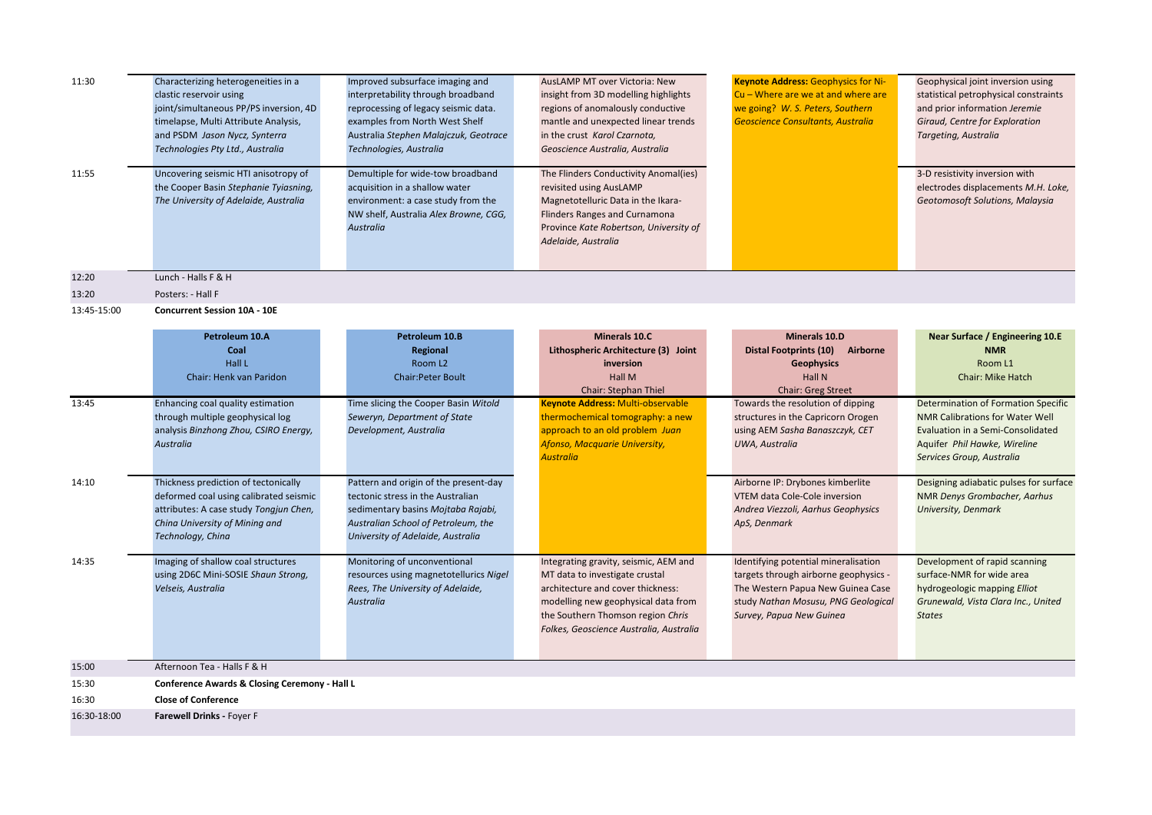| 11:30       | Characterizing heterogeneities in a<br>clastic reservoir using<br>joint/simultaneous PP/PS inversion, 4D<br>timelapse, Multi Attribute Analysis,<br>and PSDM Jason Nycz, Synterra<br>Technologies Pty Ltd., Australia | Improved subsurface imaging and<br>interpretability through broadband<br>reprocessing of legacy seismic data.<br>examples from North West Shelf<br>Australia Stephen Malajczuk, Geotrace<br>Technologies, Australia | AusLAMP MT over Victoria: New<br>insight from 3D modelling highlights<br>regions of anomalously conductive<br>mantle and unexpected linear trends<br>in the crust Karol Czarnota,<br>Geoscience Australia, Australia                | <b>Keynote Address: Geophysics for Ni-</b><br>Cu - Where are we at and where are<br>we going? W. S. Peters, Southern<br><b>Geoscience Consultants, Australia</b>                      | Geophysical joint inversion using<br>statistical petrophysical constraints<br>and prior information Jeremie<br>Giraud, Centre for Exploration<br>Targeting, Australia    |  |  |
|-------------|-----------------------------------------------------------------------------------------------------------------------------------------------------------------------------------------------------------------------|---------------------------------------------------------------------------------------------------------------------------------------------------------------------------------------------------------------------|-------------------------------------------------------------------------------------------------------------------------------------------------------------------------------------------------------------------------------------|---------------------------------------------------------------------------------------------------------------------------------------------------------------------------------------|--------------------------------------------------------------------------------------------------------------------------------------------------------------------------|--|--|
| 11:55       | Uncovering seismic HTI anisotropy of<br>the Cooper Basin Stephanie Tyiasning,<br>The University of Adelaide, Australia                                                                                                | Demultiple for wide-tow broadband<br>acquisition in a shallow water<br>environment: a case study from the<br>NW shelf, Australia Alex Browne, CGG,<br>Australia                                                     | The Flinders Conductivity Anomal(ies)<br>revisited using AusLAMP<br>Magnetotelluric Data in the Ikara-<br>Flinders Ranges and Curnamona<br>Province Kate Robertson, University of<br>Adelaide, Australia                            |                                                                                                                                                                                       | 3-D resistivity inversion with<br>electrodes displacements M.H. Loke,<br>Geotomosoft Solutions, Malaysia                                                                 |  |  |
| 12:20       | Lunch - Halls F & H                                                                                                                                                                                                   |                                                                                                                                                                                                                     |                                                                                                                                                                                                                                     |                                                                                                                                                                                       |                                                                                                                                                                          |  |  |
| 13:20       | Posters: - Hall F                                                                                                                                                                                                     |                                                                                                                                                                                                                     |                                                                                                                                                                                                                                     |                                                                                                                                                                                       |                                                                                                                                                                          |  |  |
| 13:45-15:00 | <b>Concurrent Session 10A - 10E</b>                                                                                                                                                                                   |                                                                                                                                                                                                                     |                                                                                                                                                                                                                                     |                                                                                                                                                                                       |                                                                                                                                                                          |  |  |
|             | Petroleum 10.A<br>Coal<br>Hall L<br><b>Chair: Henk van Paridon</b>                                                                                                                                                    | Petroleum 10.B<br>Regional<br>Room L <sub>2</sub><br><b>Chair:Peter Boult</b>                                                                                                                                       | <b>Minerals 10.C</b><br>Lithospheric Architecture (3) Joint<br>inversion<br>Hall M                                                                                                                                                  | Minerals 10.D<br>Distal Footprints (10) Airborne<br><b>Geophysics</b><br><b>Hall N</b>                                                                                                | Near Surface / Engineering 10.E<br><b>NMR</b><br>Room L1<br><b>Chair: Mike Hatch</b>                                                                                     |  |  |
|             |                                                                                                                                                                                                                       |                                                                                                                                                                                                                     | Chair: Stephan Thiel                                                                                                                                                                                                                | <b>Chair: Greg Street</b>                                                                                                                                                             |                                                                                                                                                                          |  |  |
| 13:45       | Enhancing coal quality estimation<br>through multiple geophysical log<br>analysis Binzhong Zhou, CSIRO Energy,<br>Australia                                                                                           | Time slicing the Cooper Basin Witold<br>Seweryn, Department of State<br>Development, Australia                                                                                                                      | <b>Keynote Address: Multi-observable</b><br>thermochemical tomography: a new<br>approach to an old problem Juan<br>Afonso, Macquarie University,<br><b>Australia</b>                                                                | Towards the resolution of dipping<br>structures in the Capricorn Orogen<br>using AEM Sasha Banaszczyk, CET<br>UWA, Australia                                                          | Determination of Formation Specific<br>NMR Calibrations for Water Well<br>Evaluation in a Semi-Consolidated<br>Aquifer Phil Hawke, Wireline<br>Services Group, Australia |  |  |
| 14:10       | Thickness prediction of tectonically<br>deformed coal using calibrated seismic<br>attributes: A case study Tongjun Chen,<br>China University of Mining and<br>Technology, China                                       | Pattern and origin of the present-day<br>tectonic stress in the Australian<br>sedimentary basins Mojtaba Rajabi,<br>Australian School of Petroleum, the<br>University of Adelaide, Australia                        |                                                                                                                                                                                                                                     | Airborne IP: Drybones kimberlite<br>VTEM data Cole-Cole inversion<br>Andrea Viezzoli, Aarhus Geophysics<br>ApS, Denmark                                                               | Designing adiabatic pulses for surface<br>NMR Denys Grombacher, Aarhus<br>University, Denmark                                                                            |  |  |
| 14:35       | Imaging of shallow coal structures<br>using 2D6C Mini-SOSIE Shaun Strong,<br>Velseis, Australia                                                                                                                       | Monitoring of unconventional<br>resources using magnetotellurics Nigel<br>Rees, The University of Adelaide,<br>Australia                                                                                            | Integrating gravity, seismic, AEM and<br>MT data to investigate crustal<br>architecture and cover thickness:<br>modelling new geophysical data from<br>the Southern Thomson region Chris<br>Folkes, Geoscience Australia, Australia | Identifying potential mineralisation<br>targets through airborne geophysics -<br>The Western Papua New Guinea Case<br>study Nathan Mosusu, PNG Geological<br>Survey, Papua New Guinea | Development of rapid scanning<br>surface-NMR for wide area<br>hydrogeologic mapping Elliot<br>Grunewald, Vista Clara Inc., United<br><b>States</b>                       |  |  |
| 15:00       | Afternoon Tea - Halls F & H                                                                                                                                                                                           |                                                                                                                                                                                                                     |                                                                                                                                                                                                                                     |                                                                                                                                                                                       |                                                                                                                                                                          |  |  |
| 15:30       | Conference Awards & Closing Ceremony - Hall L                                                                                                                                                                         |                                                                                                                                                                                                                     |                                                                                                                                                                                                                                     |                                                                                                                                                                                       |                                                                                                                                                                          |  |  |
| 16:30       | <b>Close of Conference</b>                                                                                                                                                                                            |                                                                                                                                                                                                                     |                                                                                                                                                                                                                                     |                                                                                                                                                                                       |                                                                                                                                                                          |  |  |
| 16:30-18:00 | Farewell Drinks - Foyer F                                                                                                                                                                                             |                                                                                                                                                                                                                     |                                                                                                                                                                                                                                     |                                                                                                                                                                                       |                                                                                                                                                                          |  |  |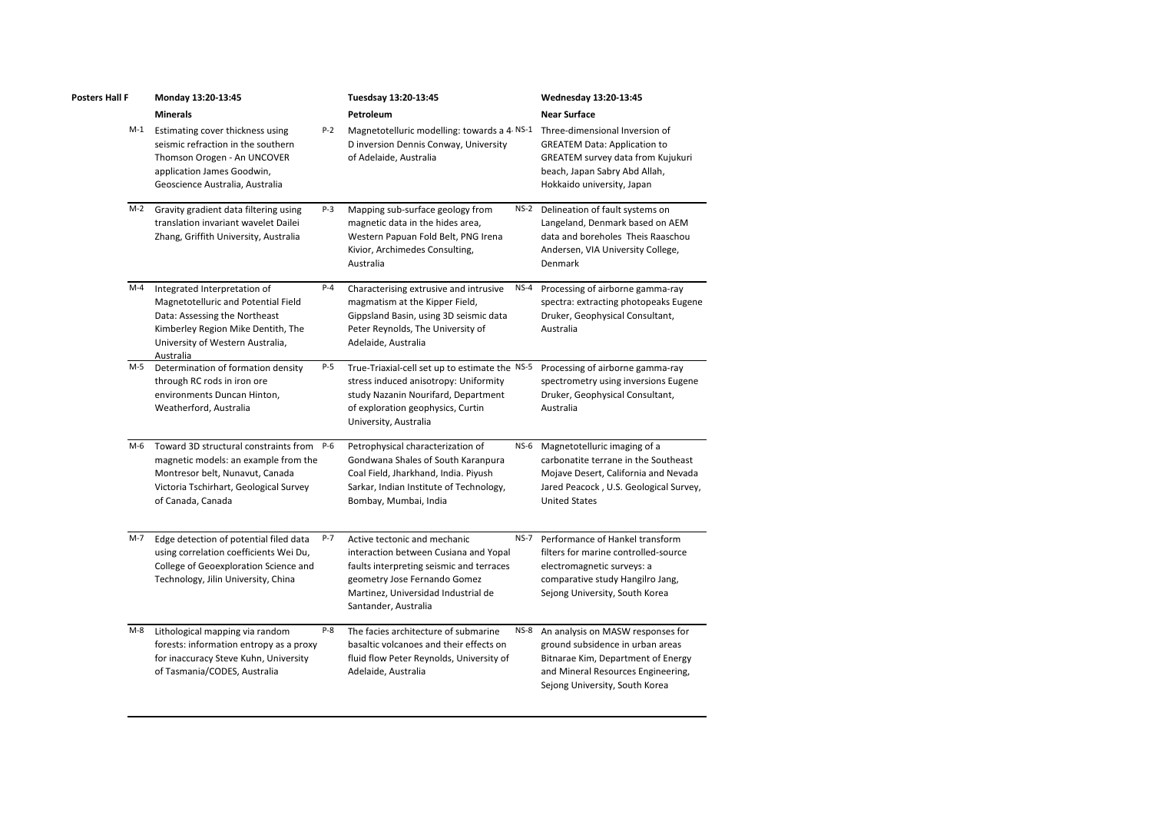| Posters Hall F | Monday 13:20-13:45                                                                                                                                                                          | Tuesdsay 13:20-13:45<br>Petroleum |                                                                                                                                                                                                                  | Wednesday 13:20-13:45<br><b>Near Surface</b> |                                                                                                                                                                                     |
|----------------|---------------------------------------------------------------------------------------------------------------------------------------------------------------------------------------------|-----------------------------------|------------------------------------------------------------------------------------------------------------------------------------------------------------------------------------------------------------------|----------------------------------------------|-------------------------------------------------------------------------------------------------------------------------------------------------------------------------------------|
|                | <b>Minerals</b>                                                                                                                                                                             |                                   |                                                                                                                                                                                                                  |                                              |                                                                                                                                                                                     |
| M-1            | Estimating cover thickness using<br>seismic refraction in the southern<br>Thomson Orogen - An UNCOVER<br>application James Goodwin,<br>Geoscience Australia, Australia                      | P-2                               | Magnetotelluric modelling: towards a 4 NS-1<br>D inversion Dennis Conway, University<br>of Adelaide, Australia                                                                                                   |                                              | Three-dimensional Inversion of<br><b>GREATEM Data: Application to</b><br><b>GREATEM survey data from Kujukuri</b><br>beach, Japan Sabry Abd Allah,<br>Hokkaido university, Japan    |
|                | M-2 Gravity gradient data filtering using<br>translation invariant wavelet Dailei<br>Zhang, Griffith University, Australia                                                                  | P-3                               | Mapping sub-surface geology from<br>magnetic data in the hides area,<br>Western Papuan Fold Belt, PNG Irena<br>Kivior, Archimedes Consulting,<br>Australia                                                       | <b>NS-2</b>                                  | Delineation of fault systems on<br>Langeland, Denmark based on AEM<br>data and boreholes Theis Raaschou<br>Andersen, VIA University College,<br>Denmark                             |
| M-4            | Integrated Interpretation of<br>Magnetotelluric and Potential Field<br>Data: Assessing the Northeast<br>Kimberley Region Mike Dentith, The<br>University of Western Australia,<br>Australia | $P-4$                             | Characterising extrusive and intrusive<br>magmatism at the Kipper Field,<br>Gippsland Basin, using 3D seismic data<br>Peter Reynolds, The University of<br>Adelaide, Australia                                   | NS-4                                         | Processing of airborne gamma-ray<br>spectra: extracting photopeaks Eugene<br>Druker, Geophysical Consultant,<br>Australia                                                           |
| M-5            | Determination of formation density<br>through RC rods in iron ore<br>environments Duncan Hinton,<br>Weatherford, Australia                                                                  | P-5                               | True-Triaxial-cell set up to estimate the NS-5<br>stress induced anisotropy: Uniformity<br>study Nazanin Nourifard, Department<br>of exploration geophysics, Curtin<br>University, Australia                     |                                              | Processing of airborne gamma-ray<br>spectrometry using inversions Eugene<br>Druker, Geophysical Consultant,<br>Australia                                                            |
| M-6            | Toward 3D structural constraints from P-6<br>magnetic models: an example from the<br>Montresor belt, Nunavut, Canada<br>Victoria Tschirhart, Geological Survey<br>of Canada, Canada         |                                   | Petrophysical characterization of<br>Gondwana Shales of South Karanpura<br>Coal Field, Jharkhand, India. Piyush<br>Sarkar, Indian Institute of Technology,<br>Bombay, Mumbai, India                              | <b>NS-6</b>                                  | Magnetotelluric imaging of a<br>carbonatite terrane in the Southeast<br>Mojave Desert, California and Nevada<br>Jared Peacock, U.S. Geological Survey,<br><b>United States</b>      |
| M-7            | Edge detection of potential filed data<br>using correlation coefficients Wei Du,<br>College of Geoexploration Science and<br>Technology, Jilin University, China                            | P-7                               | Active tectonic and mechanic<br>interaction between Cusiana and Yopal<br>faults interpreting seismic and terraces<br>geometry Jose Fernando Gomez<br>Martinez, Universidad Industrial de<br>Santander, Australia | $NS-7$                                       | Performance of Hankel transform<br>filters for marine controlled-source<br>electromagnetic surveys: a<br>comparative study Hangilro Jang,<br>Sejong University, South Korea         |
| M-8            | Lithological mapping via random<br>forests: information entropy as a proxy<br>for inaccuracy Steve Kuhn, University<br>of Tasmania/CODES, Australia                                         | P-8                               | The facies architecture of submarine<br>basaltic volcanoes and their effects on<br>fluid flow Peter Reynolds, University of<br>Adelaide, Australia                                                               | <b>NS-8</b>                                  | An analysis on MASW responses for<br>ground subsidence in urban areas<br>Bitnarae Kim, Department of Energy<br>and Mineral Resources Engineering,<br>Sejong University, South Korea |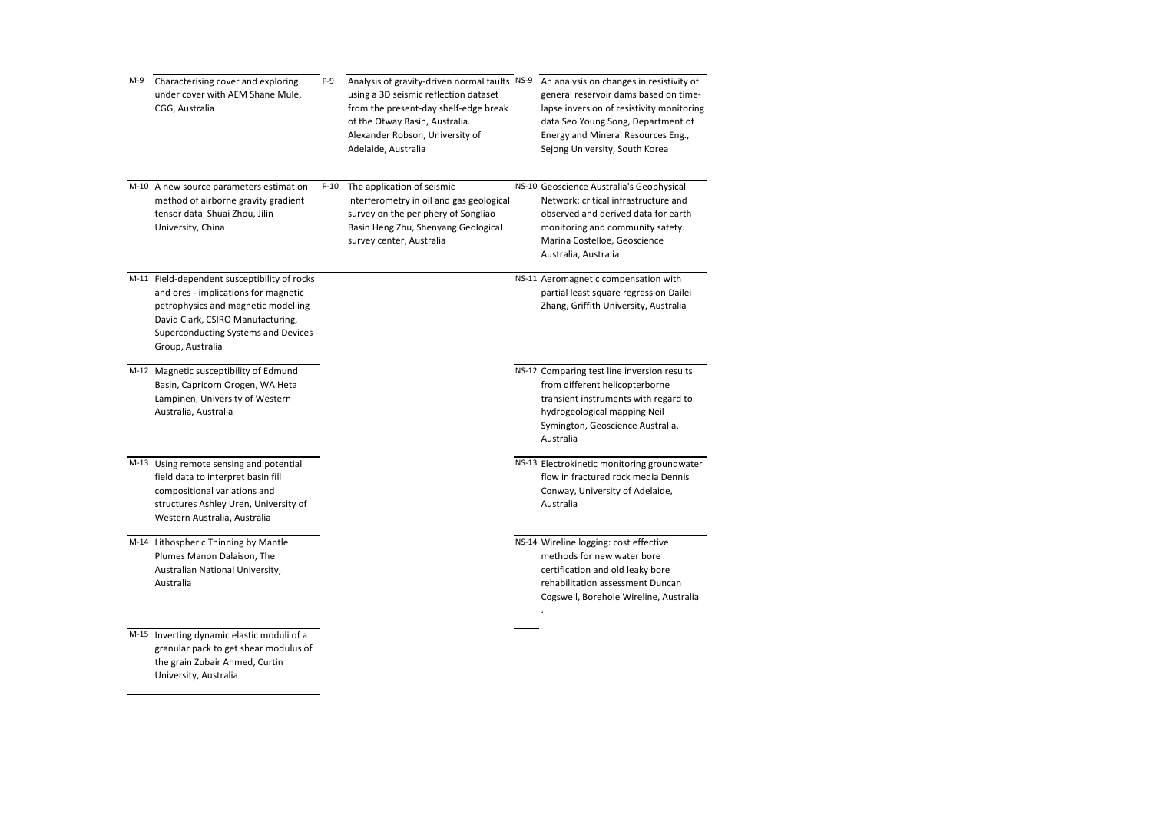| M-9 | Characterising cover and exploring<br>under cover with AEM Shane Mulè,<br>CGG, Australia                                                                                                                                    | P-9    | Analysis of gravity-driven normal faults NS-9<br>using a 3D seismic reflection dataset<br>from the present-day shelf-edge break<br>of the Otway Basin, Australia.<br>Alexander Robson, University of<br>Adelaide, Australia | An analysis on changes in resistivity of<br>general reservoir dams based on time-<br>lapse inversion of resistivity monitoring<br>data Seo Young Song, Department of<br>Energy and Mineral Resources Eng.,<br>Sejong University, South Korea |
|-----|-----------------------------------------------------------------------------------------------------------------------------------------------------------------------------------------------------------------------------|--------|-----------------------------------------------------------------------------------------------------------------------------------------------------------------------------------------------------------------------------|----------------------------------------------------------------------------------------------------------------------------------------------------------------------------------------------------------------------------------------------|
|     | M-10 A new source parameters estimation<br>method of airborne gravity gradient<br>tensor data Shuai Zhou, Jilin<br>University, China                                                                                        | $P-10$ | The application of seismic<br>interferometry in oil and gas geological<br>survey on the periphery of Songliao<br>Basin Heng Zhu, Shenyang Geological<br>survey center, Australia                                            | NS-10 Geoscience Australia's Geophysical<br>Network: critical infrastructure and<br>observed and derived data for earth<br>monitoring and community safety.<br>Marina Costelloe, Geoscience<br>Australia, Australia                          |
|     | M-11 Field-dependent susceptibility of rocks<br>and ores - implications for magnetic<br>petrophysics and magnetic modelling<br>David Clark, CSIRO Manufacturing,<br>Superconducting Systems and Devices<br>Group, Australia |        |                                                                                                                                                                                                                             | NS-11 Aeromagnetic compensation with<br>partial least square regression Dailei<br>Zhang, Griffith University, Australia                                                                                                                      |
|     | M-12 Magnetic susceptibility of Edmund<br>Basin, Capricorn Orogen, WA Heta<br>Lampinen, University of Western<br>Australia, Australia                                                                                       |        |                                                                                                                                                                                                                             | NS-12 Comparing test line inversion results<br>from different helicopterborne<br>transient instruments with regard to<br>hydrogeological mapping Neil<br>Symington, Geoscience Australia,<br>Australia                                       |
|     | M-13 Using remote sensing and potential<br>field data to interpret basin fill<br>compositional variations and<br>structures Ashley Uren, University of<br>Western Australia, Australia                                      |        |                                                                                                                                                                                                                             | NS-13 Electrokinetic monitoring groundwater<br>flow in fractured rock media Dennis<br>Conway, University of Adelaide,<br>Australia                                                                                                           |
|     | M-14 Lithospheric Thinning by Mantle<br>Plumes Manon Dalaison, The<br>Australian National University,<br>Australia                                                                                                          |        |                                                                                                                                                                                                                             | NS-14 Wireline logging: cost effective<br>methods for new water bore<br>certification and old leaky bore<br>rehabilitation assessment Duncan<br>Cogswell, Borehole Wireline, Australia                                                       |
|     | M-15 Inverting dynamic elastic moduli of a<br>granular pack to get shear modulus of<br>the grain Zubair Ahmed, Curtin<br>University, Australia                                                                              |        |                                                                                                                                                                                                                             |                                                                                                                                                                                                                                              |